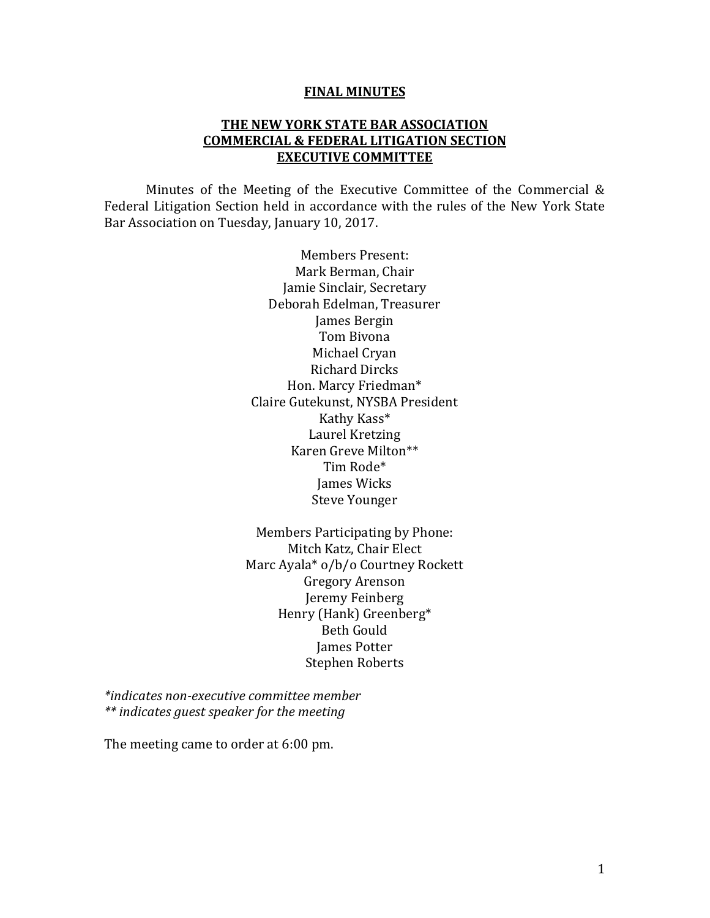#### **FINAL MINUTES**

#### **THE NEW YORK STATE BAR ASSOCIATION COMMERCIAL & FEDERAL LITIGATION SECTION EXECUTIVE COMMITTEE**

Minutes of the Meeting of the Executive Committee of the Commercial & Federal Litigation Section held in accordance with the rules of the New York State Bar Association on Tuesday, January 10, 2017.

> Members Present: Mark Berman, Chair Jamie Sinclair, Secretary Deborah Edelman, Treasurer James Bergin Tom Bivona Michael Cryan Richard Dircks Hon. Marcy Friedman\* Claire Gutekunst, NYSBA President Kathy Kass\* Laurel Kretzing Karen Greve Milton\*\* Tim Rode\* James Wicks Steve Younger

Members Participating by Phone: Mitch Katz, Chair Elect Marc Ayala\* o/b/o Courtney Rockett Gregory Arenson Jeremy Feinberg Henry (Hank) Greenberg\* Beth Gould James Potter Stephen Roberts

*\*indicates non-executive committee member \*\* indicates guest speaker for the meeting* 

The meeting came to order at 6:00 pm.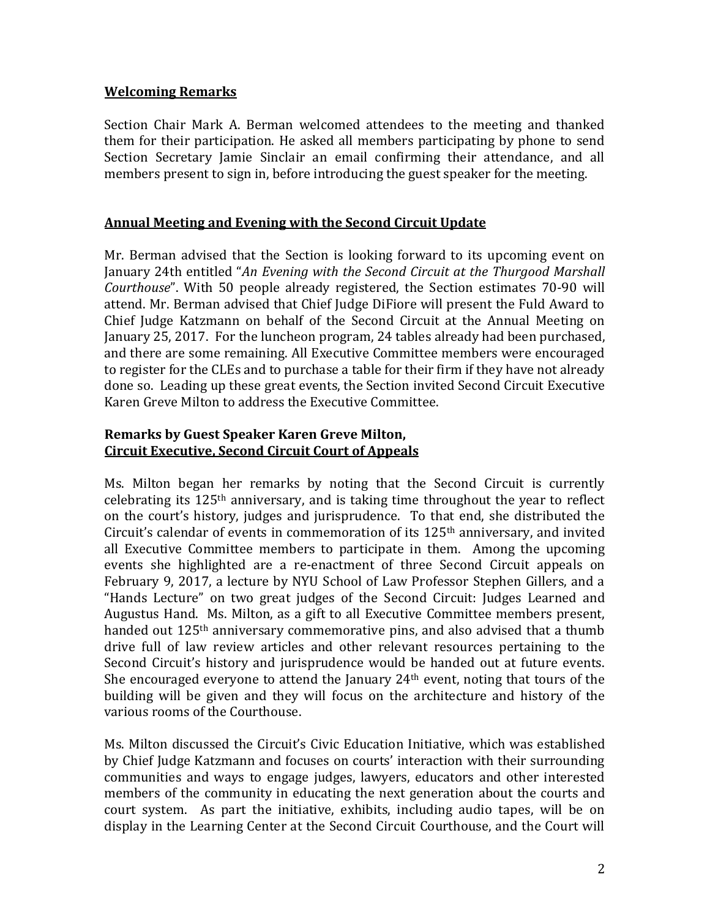## **Welcoming Remarks**

Section Chair Mark A. Berman welcomed attendees to the meeting and thanked them for their participation. He asked all members participating by phone to send Section Secretary Jamie Sinclair an email confirming their attendance, and all members present to sign in, before introducing the guest speaker for the meeting.

# **Annual Meeting and Evening with the Second Circuit Update**

Mr. Berman advised that the Section is looking forward to its upcoming event on January 24th entitled "*An Evening with the Second Circuit at the Thurgood Marshall Courthouse*". With 50 people already registered, the Section estimates 70-90 will attend. Mr. Berman advised that Chief Judge DiFiore will present the Fuld Award to Chief Judge Katzmann on behalf of the Second Circuit at the Annual Meeting on January 25, 2017. For the luncheon program, 24 tables already had been purchased, and there are some remaining. All Executive Committee members were encouraged to register for the CLEs and to purchase a table for their firm if they have not already done so. Leading up these great events, the Section invited Second Circuit Executive Karen Greve Milton to address the Executive Committee.

# **Remarks by Guest Speaker Karen Greve Milton, Circuit Executive, Second Circuit Court of Appeals**

Ms. Milton began her remarks by noting that the Second Circuit is currently celebrating its  $125<sup>th</sup>$  anniversary, and is taking time throughout the year to reflect on the court's history, judges and jurisprudence. To that end, she distributed the Circuit's calendar of events in commemoration of its  $125<sup>th</sup>$  anniversary, and invited all Executive Committee members to participate in them. Among the upcoming events she highlighted are a re-enactment of three Second Circuit appeals on February 9, 2017, a lecture by NYU School of Law Professor Stephen Gillers, and a "Hands Lecture" on two great judges of the Second Circuit: Judges Learned and Augustus Hand. Ms. Milton, as a gift to all Executive Committee members present, handed out 125<sup>th</sup> anniversary commemorative pins, and also advised that a thumb drive full of law review articles and other relevant resources pertaining to the Second Circuit's history and jurisprudence would be handed out at future events. She encouraged everyone to attend the January  $24<sup>th</sup>$  event, noting that tours of the building will be given and they will focus on the architecture and history of the various rooms of the Courthouse.

Ms. Milton discussed the Circuit's Civic Education Initiative, which was established by Chief Judge Katzmann and focuses on courts' interaction with their surrounding communities and ways to engage judges, lawyers, educators and other interested members of the community in educating the next generation about the courts and court system. As part the initiative, exhibits, including audio tapes, will be on display in the Learning Center at the Second Circuit Courthouse, and the Court will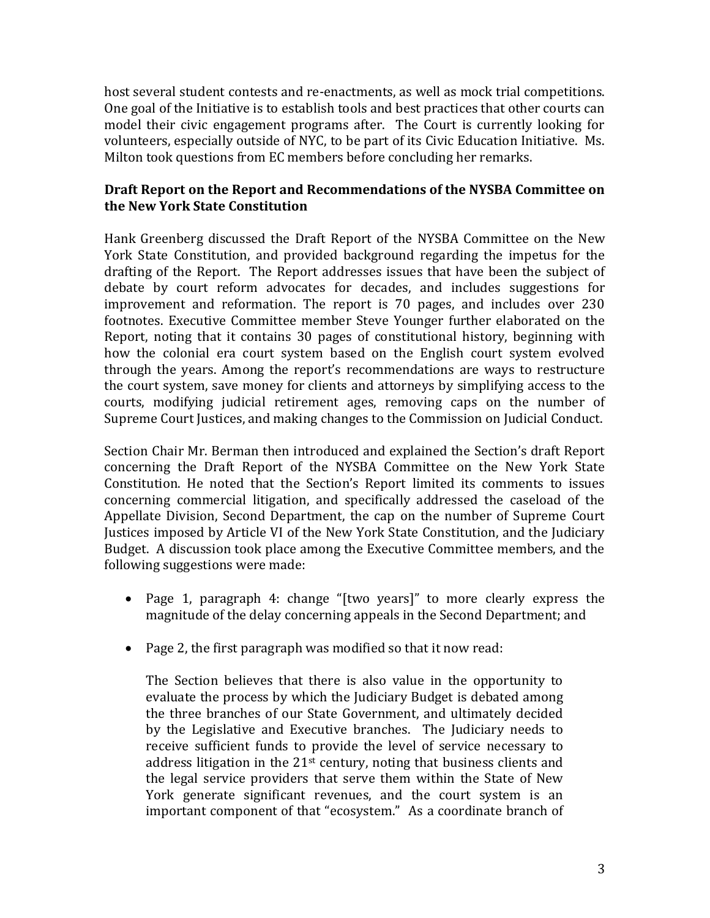host several student contests and re-enactments, as well as mock trial competitions. One goal of the Initiative is to establish tools and best practices that other courts can model their civic engagement programs after. The Court is currently looking for volunteers, especially outside of NYC, to be part of its Civic Education Initiative. Ms. Milton took questions from EC members before concluding her remarks.

# **Draft Report on the Report and Recommendations of the NYSBA Committee on the New York State Constitution**

Hank Greenberg discussed the Draft Report of the NYSBA Committee on the New York State Constitution, and provided background regarding the impetus for the drafting of the Report. The Report addresses issues that have been the subject of debate by court reform advocates for decades, and includes suggestions for improvement and reformation. The report is 70 pages, and includes over 230 footnotes. Executive Committee member Steve Younger further elaborated on the Report, noting that it contains 30 pages of constitutional history, beginning with how the colonial era court system based on the English court system evolved through the years. Among the report's recommendations are ways to restructure the court system, save money for clients and attorneys by simplifying access to the courts, modifying judicial retirement ages, removing caps on the number of Supreme Court Justices, and making changes to the Commission on Judicial Conduct.

Section Chair Mr. Berman then introduced and explained the Section's draft Report concerning the Draft Report of the NYSBA Committee on the New York State Constitution. He noted that the Section's Report limited its comments to issues concerning commercial litigation, and specifically addressed the caseload of the Appellate Division, Second Department, the cap on the number of Supreme Court Justices imposed by Article VI of the New York State Constitution, and the Judiciary Budget. A discussion took place among the Executive Committee members, and the following suggestions were made:

- Page 1, paragraph 4: change "[two years]" to more clearly express the magnitude of the delay concerning appeals in the Second Department; and
- Page 2, the first paragraph was modified so that it now read:

The Section believes that there is also value in the opportunity to evaluate the process by which the Judiciary Budget is debated among the three branches of our State Government, and ultimately decided by the Legislative and Executive branches. The Judiciary needs to receive sufficient funds to provide the level of service necessary to address litigation in the 21st century, noting that business clients and the legal service providers that serve them within the State of New York generate significant revenues, and the court system is an important component of that "ecosystem." As a coordinate branch of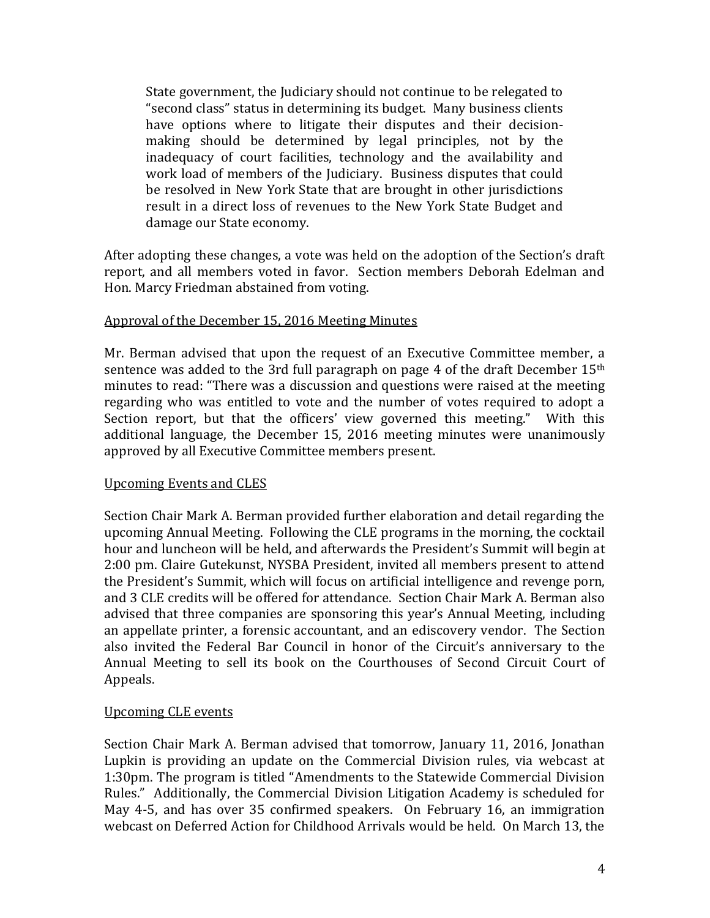State government, the Judiciary should not continue to be relegated to "second class" status in determining its budget. Many business clients have options where to litigate their disputes and their decisionmaking should be determined by legal principles, not by the inadequacy of court facilities, technology and the availability and work load of members of the Judiciary. Business disputes that could be resolved in New York State that are brought in other jurisdictions result in a direct loss of revenues to the New York State Budget and damage our State economy.

After adopting these changes, a vote was held on the adoption of the Section's draft report, and all members voted in favor. Section members Deborah Edelman and Hon. Marcy Friedman abstained from voting.

## Approval of the December 15, 2016 Meeting Minutes

Mr. Berman advised that upon the request of an Executive Committee member, a sentence was added to the 3rd full paragraph on page 4 of the draft December  $15<sup>th</sup>$ minutes to read: "There was a discussion and questions were raised at the meeting regarding who was entitled to vote and the number of votes required to adopt a Section report, but that the officers' view governed this meeting." With this additional language, the December 15, 2016 meeting minutes were unanimously approved by all Executive Committee members present.

## Upcoming Events and CLES

Section Chair Mark A. Berman provided further elaboration and detail regarding the upcoming Annual Meeting. Following the CLE programs in the morning, the cocktail hour and luncheon will be held, and afterwards the President's Summit will begin at 2:00 pm. Claire Gutekunst, NYSBA President, invited all members present to attend the President's Summit, which will focus on artificial intelligence and revenge porn, and 3 CLE credits will be offered for attendance. Section Chair Mark A. Berman also advised that three companies are sponsoring this year's Annual Meeting, including an appellate printer, a forensic accountant, and an ediscovery vendor. The Section also invited the Federal Bar Council in honor of the Circuit's anniversary to the Annual Meeting to sell its book on the Courthouses of Second Circuit Court of Appeals.

## Upcoming CLE events

Section Chair Mark A. Berman advised that tomorrow, January 11, 2016, Jonathan Lupkin is providing an update on the Commercial Division rules, via webcast at 1:30pm. The program is titled "Amendments to the Statewide Commercial Division Rules." Additionally, the Commercial Division Litigation Academy is scheduled for May 4-5, and has over 35 confirmed speakers. On February 16, an immigration webcast on Deferred Action for Childhood Arrivals would be held. On March 13, the